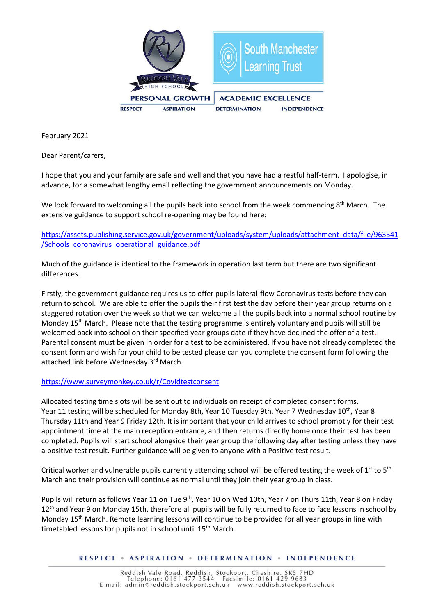

February 2021

Dear Parent/carers,

I hope that you and your family are safe and well and that you have had a restful half-term. I apologise, in advance, for a somewhat lengthy email reflecting the government announcements on Monday.

We look forward to welcoming all the pupils back into school from the week commencing 8<sup>th</sup> March. The extensive guidance to support school re-opening may be found here:

[https://assets.publishing.service.gov.uk/government/uploads/system/uploads/attachment\\_data/file/963541](https://assets.publishing.service.gov.uk/government/uploads/system/uploads/attachment_data/file/963541/Schools_coronavirus_operational_guidance.pdf) [/Schools\\_coronavirus\\_operational\\_guidance.pdf](https://assets.publishing.service.gov.uk/government/uploads/system/uploads/attachment_data/file/963541/Schools_coronavirus_operational_guidance.pdf)

Much of the guidance is identical to the framework in operation last term but there are two significant differences.

Firstly, the government guidance requires us to offer pupils lateral-flow Coronavirus tests before they can return to school. We are able to offer the pupils their first test the day before their year group returns on a staggered rotation over the week so that we can welcome all the pupils back into a normal school routine by Monday 15th March. Please note that the testing programme is entirely voluntary and pupils will still be welcomed back into school on their specified year groups date if they have declined the offer of a test. Parental consent must be given in order for a test to be administered. If you have not already completed the consent form and wish for your child to be tested please can you complete the consent form following the attached link before Wednesday 3rd March.

## <https://www.surveymonkey.co.uk/r/Covidtestconsent>

Allocated testing time slots will be sent out to individuals on receipt of completed consent forms. Year 11 testing will be scheduled for Monday 8th, Year 10 Tuesday 9th, Year 7 Wednesday 10<sup>th</sup>, Year 8 Thursday 11th and Year 9 Friday 12th. It is important that your child arrives to school promptly for their test appointment time at the main reception entrance, and then returns directly home once their test has been completed. Pupils will start school alongside their year group the following day after testing unless they have a positive test result. Further guidance will be given to anyone with a Positive test result.

Critical worker and vulnerable pupils currently attending school will be offered testing the week of  $1^{st}$  to  $5^{th}$ March and their provision will continue as normal until they join their year group in class.

Pupils will return as follows Year 11 on Tue 9<sup>th</sup>, Year 10 on Wed 10th, Year 7 on Thurs 11th, Year 8 on Friday 12<sup>th</sup> and Year 9 on Monday 15th, therefore all pupils will be fully returned to face to face lessons in school by Monday 15th March. Remote learning lessons will continue to be provided for all year groups in line with timetabled lessons for pupils not in school until 15<sup>th</sup> March.

## RESPECT . ASPIRATION . DETERMINATION . INDEPENDENCE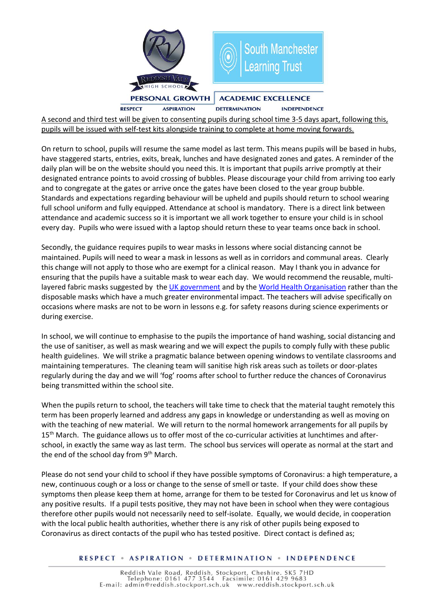

A second and third test will be given to consenting pupils during school time 3-5 days apart, following this, pupils will be issued with self-test kits alongside training to complete at home moving forwards.

On return to school, pupils will resume the same model as last term. This means pupils will be based in hubs, have staggered starts, entries, exits, break, lunches and have designated zones and gates. A reminder of the daily plan will be on the website should you need this. It is important that pupils arrive promptly at their designated entrance points to avoid crossing of bubbles. Please discourage your child from arriving too early and to congregate at the gates or arrive once the gates have been closed to the year group bubble. Standards and expectations regarding behaviour will be upheld and pupils should return to school wearing full school uniform and fully equipped. Attendance at school is mandatory. There is a direct link between attendance and academic success so it is important we all work together to ensure your child is in school every day. Pupils who were issued with a laptop should return these to year teams once back in school.

Secondly, the guidance requires pupils to wear masks in lessons where social distancing cannot be maintained. Pupils will need to wear a mask in lessons as well as in corridors and communal areas. Clearly this change will not apply to those who are exempt for a clinical reason. May I thank you in advance for ensuring that the pupils have a suitable mask to wear each day. We would recommend the reusable, multi-layered fabric masks suggested by the [UK government](https://www.gov.uk/government/publications/face-coverings-when-to-wear-one-and-how-to-make-your-own/face-coverings-when-to-wear-one-and-how-to-make-your-own) and by the [World Health Organisation](https://www.who.int/emergencies/diseases/novel-coronavirus-2019/advice-for-public/when-and-how-to-use-masks) rather than the disposable masks which have a much greater environmental impact. The teachers will advise specifically on occasions where masks are not to be worn in lessons e.g. for safety reasons during science experiments or during exercise.

In school, we will continue to emphasise to the pupils the importance of hand washing, social distancing and the use of sanitiser, as well as mask wearing and we will expect the pupils to comply fully with these public health guidelines. We will strike a pragmatic balance between opening windows to ventilate classrooms and maintaining temperatures. The cleaning team will sanitise high risk areas such as toilets or door-plates regularly during the day and we will 'fog' rooms after school to further reduce the chances of Coronavirus being transmitted within the school site.

When the pupils return to school, the teachers will take time to check that the material taught remotely this term has been properly learned and address any gaps in knowledge or understanding as well as moving on with the teaching of new material. We will return to the normal homework arrangements for all pupils by 15<sup>th</sup> March. The guidance allows us to offer most of the co-curricular activities at lunchtimes and afterschool, in exactly the same way as last term. The school bus services will operate as normal at the start and the end of the school day from  $9<sup>th</sup>$  March.

Please do not send your child to school if they have possible symptoms of Coronavirus: a high temperature, a new, continuous cough or a loss or change to the sense of smell or taste. If your child does show these symptoms then please keep them at home, arrange for them to be tested for Coronavirus and let us know of any positive results. If a pupil tests positive, they may not have been in school when they were contagious therefore other pupils would not necessarily need to self-isolate. Equally, we would decide, in cooperation with the local public health authorities, whether there is any risk of other pupils being exposed to Coronavirus as direct contacts of the pupil who has tested positive. Direct contact is defined as;

## **RESPECT • ASPIRATION • DETERMINATION • INDEPENDENCE**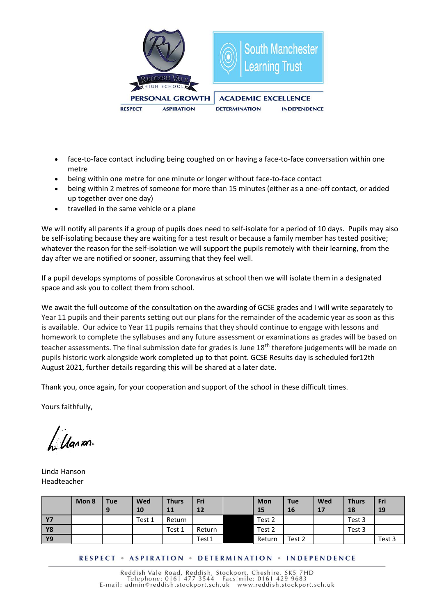

- face-to-face contact including being coughed on or having a face-to-face conversation within one metre
- being within one metre for one minute or longer without face-to-face contact
- being within 2 metres of someone for more than 15 minutes (either as a one-off contact, or added up together over one day)
- travelled in the same vehicle or a plane

We will notify all parents if a group of pupils does need to self-isolate for a period of 10 days. Pupils may also be self-isolating because they are waiting for a test result or because a family member has tested positive; whatever the reason for the self-isolation we will support the pupils remotely with their learning, from the day after we are notified or sooner, assuming that they feel well.

If a pupil develops symptoms of possible Coronavirus at school then we will isolate them in a designated space and ask you to collect them from school.

We await the full outcome of the consultation on the awarding of GCSE grades and I will write separately to Year 11 pupils and their parents setting out our plans for the remainder of the academic year as soon as this is available. Our advice to Year 11 pupils remains that they should continue to engage with lessons and homework to complete the syllabuses and any future assessment or examinations as grades will be based on teacher assessments. The final submission date for grades is June 18<sup>th</sup> therefore judgements will be made on pupils historic work alongside work completed up to that point. GCSE Results day is scheduled for12th August 2021, further details regarding this will be shared at a later date.

Thank you, once again, for your cooperation and support of the school in these difficult times.

Yours faithfully,

*Ugran* 

Linda Hanson Headteacher

|           | Mon 8 | <b>Tue</b><br>9 | <b>Wed</b><br>10 | <b>Thurs</b><br>11 | Fri<br>12 | Mon<br>15 | <b>Tue</b><br>16 | Wed<br>17 | <b>Thurs</b><br>18 | Fri<br>19 |
|-----------|-------|-----------------|------------------|--------------------|-----------|-----------|------------------|-----------|--------------------|-----------|
| <b>Y7</b> |       |                 | Test 1           | Return             |           | Test 2    |                  |           | Test 3             |           |
| <b>Y8</b> |       |                 |                  | Test 1             | Return    | Test 2    |                  |           | Test 3             |           |
| <b>Y9</b> |       |                 |                  |                    | Test1     | Return    | Test 2           |           |                    | Test 3    |

**RESPECT . ASPIRATION . DETERMINATION . INDEPENDENCE**